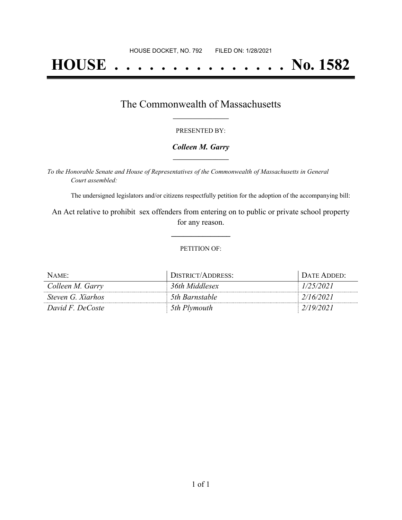# **HOUSE . . . . . . . . . . . . . . . No. 1582**

## The Commonwealth of Massachusetts **\_\_\_\_\_\_\_\_\_\_\_\_\_\_\_\_\_**

#### PRESENTED BY:

#### *Colleen M. Garry* **\_\_\_\_\_\_\_\_\_\_\_\_\_\_\_\_\_**

*To the Honorable Senate and House of Representatives of the Commonwealth of Massachusetts in General Court assembled:*

The undersigned legislators and/or citizens respectfully petition for the adoption of the accompanying bill:

An Act relative to prohibit sex offenders from entering on to public or private school property for any reason.

**\_\_\_\_\_\_\_\_\_\_\_\_\_\_\_**

#### PETITION OF:

| NAME:             | DISTRICT/ADDRESS: | DATE ADDED: |
|-------------------|-------------------|-------------|
| Colleen M. Garry  | 36th Middlesex    | 1/25/2021   |
| Steven G. Xiarhos | 5th Barnstable    | 2/16/2021   |
| David F. DeCoste  | 5th Plymouth      | 2/19/2021   |